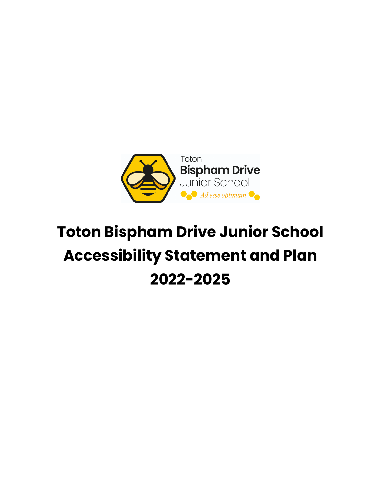

# **Toton Bispham Drive Junior School Accessibility Statement and Plan 2022-2025**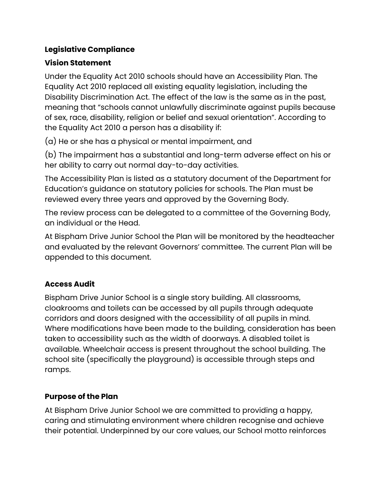#### **Legislative Compliance**

## **Vision Statement**

Under the Equality Act 2010 schools should have an Accessibility Plan. The Equality Act 2010 replaced all existing equality legislation, including the Disability Discrimination Act. The effect of the law is the same as in the past, meaning that "schools cannot unlawfully discriminate against pupils because of sex, race, disability, religion or belief and sexual orientation". According to the Equality Act 2010 a person has a disability if:

(a) He or she has a physical or mental impairment, and

(b) The impairment has a substantial and long-term adverse effect on his or her ability to carry out normal day-to-day activities.

The Accessibility Plan is listed as a statutory document of the Department for Education's guidance on statutory policies for schools. The Plan must be reviewed every three years and approved by the Governing Body.

The review process can be delegated to a committee of the Governing Body, an individual or the Head.

At Bispham Drive Junior School the Plan will be monitored by the headteacher and evaluated by the relevant Governors' committee. The current Plan will be appended to this document.

## **Access Audit**

Bispham Drive Junior School is a single story building. All classrooms, cloakrooms and toilets can be accessed by all pupils through adequate corridors and doors designed with the accessibility of all pupils in mind. Where modifications have been made to the building, consideration has been taken to accessibility such as the width of doorways. A disabled toilet is available. Wheelchair access is present throughout the school building. The school site (specifically the playground) is accessible through steps and ramps.

#### **Purpose of the Plan**

At Bispham Drive Junior School we are committed to providing a happy, caring and stimulating environment where children recognise and achieve their potential. Underpinned by our core values, our School motto reinforces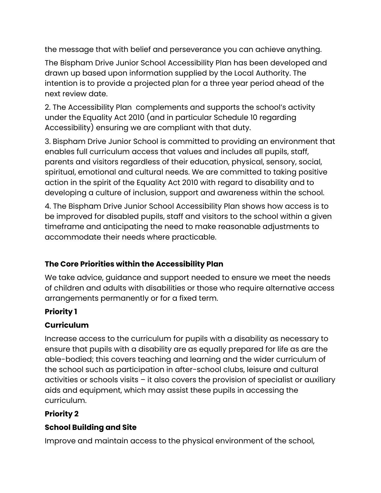the message that with belief and perseverance you can achieve anything.

The Bispham Drive Junior School Accessibility Plan has been developed and drawn up based upon information supplied by the Local Authority. The intention is to provide a projected plan for a three year period ahead of the next review date.

2. The Accessibility Plan complements and supports the school's activity under the Equality Act 2010 (and in particular Schedule 10 regarding Accessibility) ensuring we are compliant with that duty.

3. Bispham Drive Junior School is committed to providing an environment that enables full curriculum access that values and includes all pupils, staff, parents and visitors regardless of their education, physical, sensory, social, spiritual, emotional and cultural needs. We are committed to taking positive action in the spirit of the Equality Act 2010 with regard to disability and to developing a culture of inclusion, support and awareness within the school.

4. The Bispham Drive Junior School Accessibility Plan shows how access is to be improved for disabled pupils, staff and visitors to the school within a given timeframe and anticipating the need to make reasonable adjustments to accommodate their needs where practicable.

## **The Core Priorities within the Accessibility Plan**

We take advice, guidance and support needed to ensure we meet the needs of children and adults with disabilities or those who require alternative access arrangements permanently or for a fixed term.

## **Priority 1**

## **Curriculum**

Increase access to the curriculum for pupils with a disability as necessary to ensure that pupils with a disability are as equally prepared for life as are the able-bodied; this covers teaching and learning and the wider curriculum of the school such as participation in after-school clubs, leisure and cultural activities or schools visits – it also covers the provision of specialist or auxiliary aids and equipment, which may assist these pupils in accessing the curriculum.

## **Priority 2**

## **School Building and Site**

Improve and maintain access to the physical environment of the school,